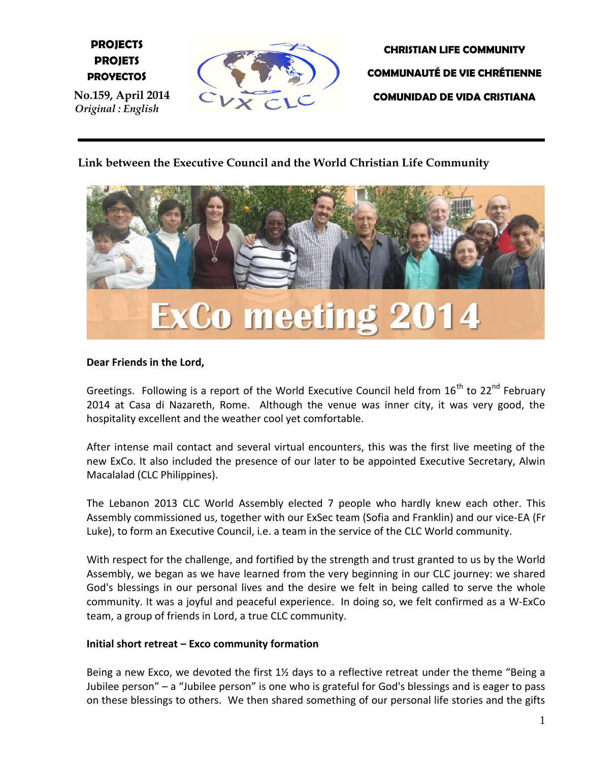**E PROJETS PROJECTS PROYECTOS**

bss  **No.159, April 2014** *Original : English*



**CHRISTIAN LIFE COMMUNITY COMMUNAUTÉ DE VIE CHRÉTIENNE COMUNIDAD DE VIDA CRISTIANA**

# **Link between the Executive Council and the World Christian Life Community**



## **Dear Friends in the Lord,**

Greetings. Following is a report of the World Executive Council held from  $16^{th}$  to  $22^{nd}$  Februarv 2014 at Casa di Nazareth, Rome. Although the venue was inner city, it was very good, the hospitality excellent and the weather cool yet comfortable.

After intense mail contact and several virtual encounters, this was the first live meeting of the new ExCo. It also included the presence of our later to be appointed Executive Secretary, Alwin Macalalad (CLC Philippines).

The Lebanon 2013 CLC World Assembly elected 7 people who hardly knew each other. This Assembly commissioned us, together with our ExSec team (Sofia and Franklin) and our vice-EA (Fr Luke), to form an Executive Council, i.e. a team in the service of the CLC World community.

With respect for the challenge, and fortified by the strength and trust granted to us by the World Assembly, we began as we have learned from the very beginning in our CLC journey: we shared God's blessings in our personal lives and the desire we felt in being called to serve the whole community. It was a joyful and peaceful experience. In doing so, we felt confirmed as a W-ExCo team, a group of friends in Lord, a true CLC community.

#### **Initial short retreat – Exco community formation**

Being a new Exco, we devoted the first  $1\frac{1}{2}$  days to a reflective retreat under the theme "Being a Jubilee person" – a "Jubilee person" is one who is grateful for God's blessings and is eager to pass on these blessings to others. We then shared something of our personal life stories and the gifts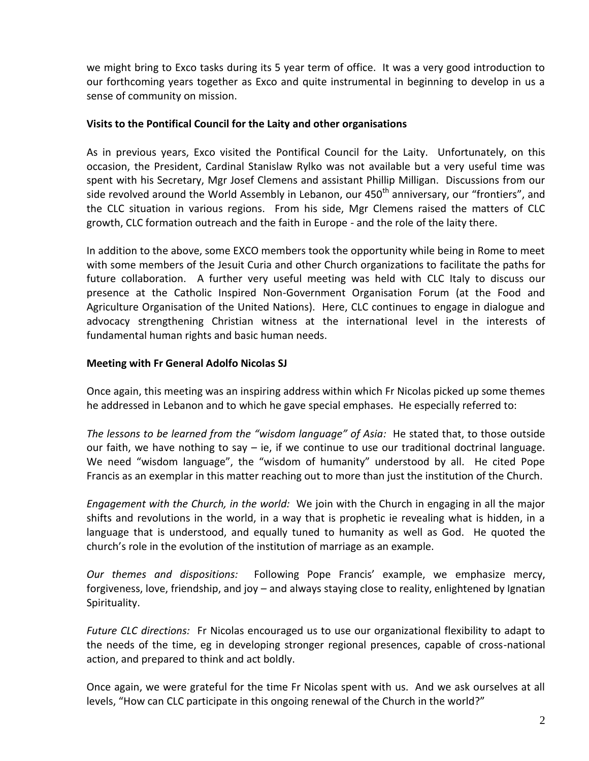we might bring to Exco tasks during its 5 year term of office. It was a very good introduction to our forthcoming years together as Exco and quite instrumental in beginning to develop in us a sense of community on mission.

## **Visits to the Pontifical Council for the Laity and other organisations**

As in previous years, Exco visited the Pontifical Council for the Laity. Unfortunately, on this occasion, the President, Cardinal Stanislaw Rylko was not available but a very useful time was spent with his Secretary, Mgr Josef Clemens and assistant Phillip Milligan. Discussions from our side revolved around the World Assembly in Lebanon, our 450<sup>th</sup> anniversary, our "frontiers", and the CLC situation in various regions. From his side, Mgr Clemens raised the matters of CLC growth, CLC formation outreach and the faith in Europe - and the role of the laity there.

In addition to the above, some EXCO members took the opportunity while being in Rome to meet with some members of the Jesuit Curia and other Church organizations to facilitate the paths for future collaboration. A further very useful meeting was held with CLC Italy to discuss our presence at the Catholic Inspired Non-Government Organisation Forum (at the Food and Agriculture Organisation of the United Nations). Here, CLC continues to engage in dialogue and advocacy strengthening Christian witness at the international level in the interests of fundamental human rights and basic human needs.

#### **Meeting with Fr General Adolfo Nicolas SJ**

Once again, this meeting was an inspiring address within which Fr Nicolas picked up some themes he addressed in Lebanon and to which he gave special emphases. He especially referred to:

*The lessons to be learned from the "wisdom language" of Asia:* He stated that, to those outside our faith, we have nothing to say  $-$  ie, if we continue to use our traditional doctrinal language. We need "wisdom language", the "wisdom of humanity" understood by all. He cited Pope Francis as an exemplar in this matter reaching out to more than just the institution of the Church.

*Engagement with the Church, in the world:* We join with the Church in engaging in all the major shifts and revolutions in the world, in a way that is prophetic ie revealing what is hidden, in a language that is understood, and equally tuned to humanity as well as God. He quoted the church's role in the evolution of the institution of marriage as an example.

*Our themes and dispositions:* Following Pope Francis' example, we emphasize mercy, forgiveness, love, friendship, and joy – and always staying close to reality, enlightened by Ignatian Spirituality.

*Future CLC directions:* Fr Nicolas encouraged us to use our organizational flexibility to adapt to the needs of the time, eg in developing stronger regional presences, capable of cross-national action, and prepared to think and act boldly.

Once again, we were grateful for the time Fr Nicolas spent with us. And we ask ourselves at all levels, "How can CLC participate in this ongoing renewal of the Church in the world?"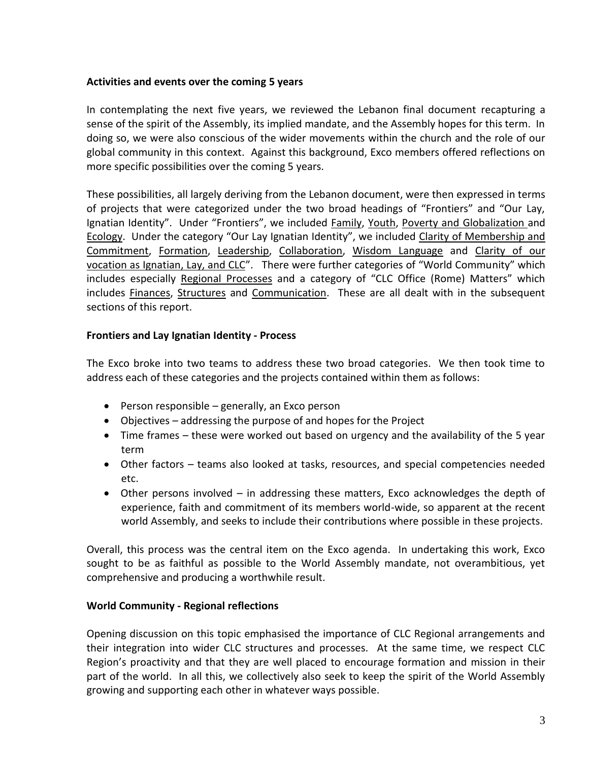## **Activities and events over the coming 5 years**

In contemplating the next five years, we reviewed the Lebanon final document recapturing a sense of the spirit of the Assembly, its implied mandate, and the Assembly hopes for this term. In doing so, we were also conscious of the wider movements within the church and the role of our global community in this context. Against this background, Exco members offered reflections on more specific possibilities over the coming 5 years.

These possibilities, all largely deriving from the Lebanon document, were then expressed in terms of projects that were categorized under the two broad headings of "Frontiers" and "Our Lay, Ignatian Identity". Under "Frontiers", we included Family, Youth, Poverty and Globalization and Ecology. Under the category "Our Lay Ignatian Identity", we included Clarity of Membership and Commitment, Formation, Leadership, Collaboration, Wisdom Language and Clarity of our vocation as Ignatian, Lay, and CLC". There were further categories of "World Community" which includes especially Regional Processes and a category of "CLC Office (Rome) Matters" which includes Finances, Structures and Communication. These are all dealt with in the subsequent sections of this report.

#### **Frontiers and Lay Ignatian Identity - Process**

The Exco broke into two teams to address these two broad categories. We then took time to address each of these categories and the projects contained within them as follows:

- Person responsible generally, an Exco person
- Objectives addressing the purpose of and hopes for the Project
- Time frames these were worked out based on urgency and the availability of the 5 year term
- Other factors teams also looked at tasks, resources, and special competencies needed etc.
- Other persons involved in addressing these matters, Exco acknowledges the depth of experience, faith and commitment of its members world-wide, so apparent at the recent world Assembly, and seeks to include their contributions where possible in these projects.

Overall, this process was the central item on the Exco agenda. In undertaking this work, Exco sought to be as faithful as possible to the World Assembly mandate, not overambitious, yet comprehensive and producing a worthwhile result.

#### **World Community - Regional reflections**

Opening discussion on this topic emphasised the importance of CLC Regional arrangements and their integration into wider CLC structures and processes. At the same time, we respect CLC Region's proactivity and that they are well placed to encourage formation and mission in their part of the world. In all this, we collectively also seek to keep the spirit of the World Assembly growing and supporting each other in whatever ways possible.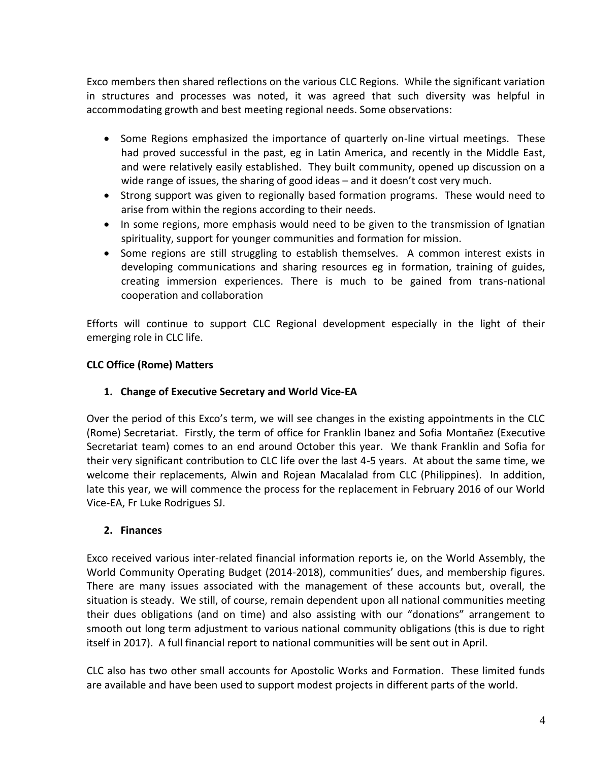Exco members then shared reflections on the various CLC Regions. While the significant variation in structures and processes was noted, it was agreed that such diversity was helpful in accommodating growth and best meeting regional needs. Some observations:

- Some Regions emphasized the importance of quarterly on-line virtual meetings. These had proved successful in the past, eg in Latin America, and recently in the Middle East, and were relatively easily established. They built community, opened up discussion on a wide range of issues, the sharing of good ideas – and it doesn't cost very much.
- Strong support was given to regionally based formation programs. These would need to arise from within the regions according to their needs.
- In some regions, more emphasis would need to be given to the transmission of Ignatian spirituality, support for younger communities and formation for mission.
- Some regions are still struggling to establish themselves. A common interest exists in developing communications and sharing resources eg in formation, training of guides, creating immersion experiences. There is much to be gained from trans-national cooperation and collaboration

Efforts will continue to support CLC Regional development especially in the light of their emerging role in CLC life.

## **CLC Office (Rome) Matters**

## **1. Change of Executive Secretary and World Vice-EA**

Over the period of this Exco's term, we will see changes in the existing appointments in the CLC (Rome) Secretariat. Firstly, the term of office for Franklin Ibanez and Sofia Montañez (Executive Secretariat team) comes to an end around October this year. We thank Franklin and Sofia for their very significant contribution to CLC life over the last 4-5 years. At about the same time, we welcome their replacements, Alwin and Rojean Macalalad from CLC (Philippines). In addition, late this year, we will commence the process for the replacement in February 2016 of our World Vice-EA, Fr Luke Rodrigues SJ.

## **2. Finances**

Exco received various inter-related financial information reports ie, on the World Assembly, the World Community Operating Budget (2014-2018), communities' dues, and membership figures. There are many issues associated with the management of these accounts but, overall, the situation is steady. We still, of course, remain dependent upon all national communities meeting their dues obligations (and on time) and also assisting with our "donations" arrangement to smooth out long term adjustment to various national community obligations (this is due to right itself in 2017). A full financial report to national communities will be sent out in April.

CLC also has two other small accounts for Apostolic Works and Formation. These limited funds are available and have been used to support modest projects in different parts of the world.